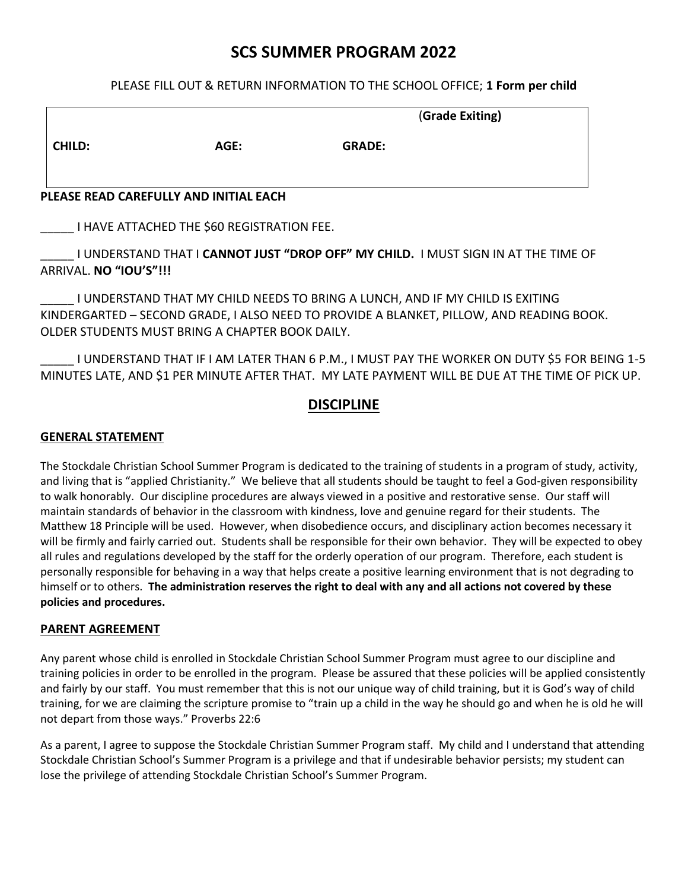## **SCS SUMMER PROGRAM 2022**

#### PLEASE FILL OUT & RETURN INFORMATION TO THE SCHOOL OFFICE; **1 Form per child**

|               |                                      | (Grade Exiting) |  |  |
|---------------|--------------------------------------|-----------------|--|--|
| <b>CHILD:</b> | AGE:                                 | <b>GRADE:</b>   |  |  |
|               | NEACE BEAD CABEFULLY AND INTEAL FACU |                 |  |  |

#### **PLEASE READ CAREFULLY AND INITIAL EACH**

\_\_\_\_\_ I HAVE ATTACHED THE \$60 REGISTRATION FEE.

\_\_\_\_\_ I UNDERSTAND THAT I **CANNOT JUST "DROP OFF" MY CHILD.** I MUST SIGN IN AT THE TIME OF ARRIVAL. **NO "IOU'S"!!!**

\_\_\_\_\_ I UNDERSTAND THAT MY CHILD NEEDS TO BRING A LUNCH, AND IF MY CHILD IS EXITING KINDERGARTED – SECOND GRADE, I ALSO NEED TO PROVIDE A BLANKET, PILLOW, AND READING BOOK. OLDER STUDENTS MUST BRING A CHAPTER BOOK DAILY.

\_\_\_\_\_ I UNDERSTAND THAT IF I AM LATER THAN 6 P.M., I MUST PAY THE WORKER ON DUTY \$5 FOR BEING 1-5 MINUTES LATE, AND \$1 PER MINUTE AFTER THAT. MY LATE PAYMENT WILL BE DUE AT THE TIME OF PICK UP.

## **DISCIPLINE**

#### **GENERAL STATEMENT**

The Stockdale Christian School Summer Program is dedicated to the training of students in a program of study, activity, and living that is "applied Christianity." We believe that all students should be taught to feel a God-given responsibility to walk honorably. Our discipline procedures are always viewed in a positive and restorative sense. Our staff will maintain standards of behavior in the classroom with kindness, love and genuine regard for their students. The Matthew 18 Principle will be used. However, when disobedience occurs, and disciplinary action becomes necessary it will be firmly and fairly carried out. Students shall be responsible for their own behavior. They will be expected to obey all rules and regulations developed by the staff for the orderly operation of our program. Therefore, each student is personally responsible for behaving in a way that helps create a positive learning environment that is not degrading to himself or to others. **The administration reserves the right to deal with any and all actions not covered by these policies and procedures.**

#### **PARENT AGREEMENT**

Any parent whose child is enrolled in Stockdale Christian School Summer Program must agree to our discipline and training policies in order to be enrolled in the program. Please be assured that these policies will be applied consistently and fairly by our staff. You must remember that this is not our unique way of child training, but it is God's way of child training, for we are claiming the scripture promise to "train up a child in the way he should go and when he is old he will not depart from those ways." Proverbs 22:6

As a parent, I agree to suppose the Stockdale Christian Summer Program staff. My child and I understand that attending Stockdale Christian School's Summer Program is a privilege and that if undesirable behavior persists; my student can lose the privilege of attending Stockdale Christian School's Summer Program.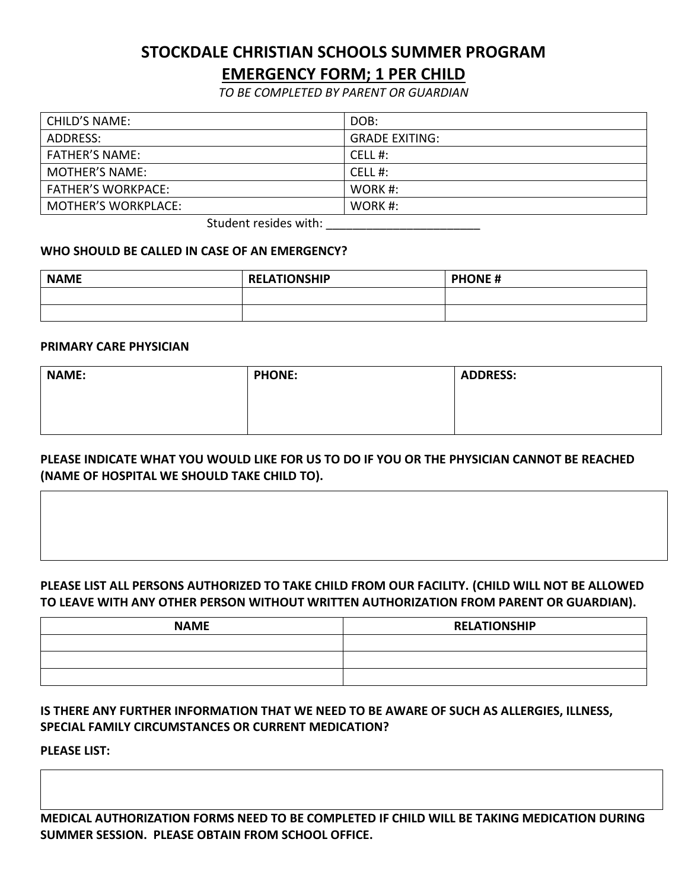# **STOCKDALE CHRISTIAN SCHOOLS SUMMER PROGRAM EMERGENCY FORM; 1 PER CHILD**

*TO BE COMPLETED BY PARENT OR GUARDIAN*

| <b>CHILD'S NAME:</b>       | DOB:                  |
|----------------------------|-----------------------|
| ADDRESS:                   | <b>GRADE EXITING:</b> |
| <b>FATHER'S NAME:</b>      | CELL #:               |
| <b>MOTHER'S NAME:</b>      | CELL #:               |
| <b>FATHER'S WORKPACE:</b>  | WORK $#$ :            |
| <b>MOTHER'S WORKPLACE:</b> | WORK #:               |
|                            |                       |

Student resides with:

#### **WHO SHOULD BE CALLED IN CASE OF AN EMERGENCY?**

| <b>NAME</b> | <b>RELATIONSHIP</b> | <b>PHONE#</b> |  |  |
|-------------|---------------------|---------------|--|--|
|             |                     |               |  |  |
|             |                     |               |  |  |

#### **PRIMARY CARE PHYSICIAN**

| <b>NAME:</b> | <b>PHONE:</b> | <b>ADDRESS:</b> |
|--------------|---------------|-----------------|
|              |               |                 |
|              |               |                 |

## **PLEASE INDICATE WHAT YOU WOULD LIKE FOR US TO DO IF YOU OR THE PHYSICIAN CANNOT BE REACHED (NAME OF HOSPITAL WE SHOULD TAKE CHILD TO).**

## **PLEASE LIST ALL PERSONS AUTHORIZED TO TAKE CHILD FROM OUR FACILITY. (CHILD WILL NOT BE ALLOWED TO LEAVE WITH ANY OTHER PERSON WITHOUT WRITTEN AUTHORIZATION FROM PARENT OR GUARDIAN).**

| <b>NAME</b> | <b>RELATIONSHIP</b> |
|-------------|---------------------|
|             |                     |
|             |                     |
|             |                     |

## **IS THERE ANY FURTHER INFORMATION THAT WE NEED TO BE AWARE OF SUCH AS ALLERGIES, ILLNESS, SPECIAL FAMILY CIRCUMSTANCES OR CURRENT MEDICATION?**

**PLEASE LIST:**

**MEDICAL AUTHORIZATION FORMS NEED TO BE COMPLETED IF CHILD WILL BE TAKING MEDICATION DURING SUMMER SESSION. PLEASE OBTAIN FROM SCHOOL OFFICE.**